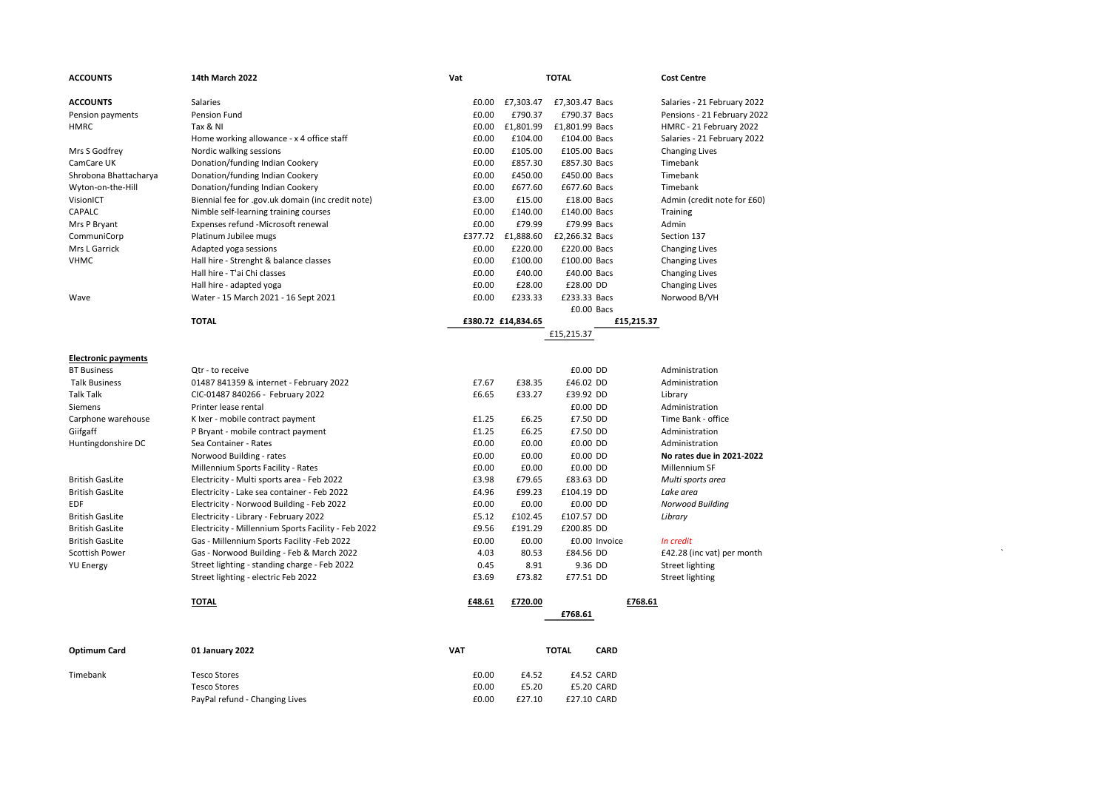| <b>ACCOUNTS</b>            | 14th March 2022                                     | Vat     |                    | <b>TOTAL</b>   | <b>Cost Centre</b>          |  |
|----------------------------|-----------------------------------------------------|---------|--------------------|----------------|-----------------------------|--|
| <b>ACCOUNTS</b>            | Salaries                                            | £0.00   | £7,303.47          | £7,303.47 Bacs | Salaries - 21 February 2022 |  |
| Pension payments           | Pension Fund                                        | £0.00   | £790.37            | £790.37 Bacs   | Pensions - 21 February 2022 |  |
| <b>HMRC</b>                | Tax & NI                                            | £0.00   | £1,801.99          | £1,801.99 Bacs | HMRC - 21 February 2022     |  |
|                            | Home working allowance - x 4 office staff           | £0.00   | £104.00            | £104.00 Bacs   | Salaries - 21 February 2022 |  |
| Mrs S Godfrey              | Nordic walking sessions                             | £0.00   | £105.00            | £105.00 Bacs   | <b>Changing Lives</b>       |  |
| CamCare UK                 | Donation/funding Indian Cookery                     | £0.00   | £857.30            | £857.30 Bacs   | Timebank                    |  |
| Shrobona Bhattacharya      | Donation/funding Indian Cookery                     | £0.00   | £450.00            | £450.00 Bacs   | Timebank                    |  |
| Wyton-on-the-Hill          | Donation/funding Indian Cookery                     | £0.00   | £677.60            | £677.60 Bacs   | Timebank                    |  |
| VisionICT                  | Biennial fee for .gov.uk domain (inc credit note)   | £3.00   | £15.00             | £18.00 Bacs    | Admin (credit note for £60) |  |
| CAPALC                     | Nimble self-learning training courses               | £0.00   | £140.00            | £140.00 Bacs   | Training                    |  |
| Mrs P Bryant               | Expenses refund -Microsoft renewal                  | £0.00   | £79.99             | £79.99 Bacs    | Admin                       |  |
| CommuniCorp                | Platinum Jubilee mugs                               | £377.72 | £1,888.60          | £2,266.32 Bacs | Section 137                 |  |
| Mrs L Garrick              | Adapted yoga sessions                               | £0.00   | £220.00            | £220.00 Bacs   | <b>Changing Lives</b>       |  |
| <b>VHMC</b>                | Hall hire - Strenght & balance classes              | £0.00   | £100.00            | £100.00 Bacs   | <b>Changing Lives</b>       |  |
|                            | Hall hire - T'ai Chi classes                        | £0.00   | £40.00             | £40.00 Bacs    | <b>Changing Lives</b>       |  |
|                            | Hall hire - adapted yoga                            | £0.00   | £28.00             | £28.00 DD      | <b>Changing Lives</b>       |  |
| Wave                       | Water - 15 March 2021 - 16 Sept 2021                | £0.00   | £233.33            | £233.33 Bacs   | Norwood B/VH                |  |
|                            |                                                     |         |                    | £0.00 Bacs     |                             |  |
|                            | <b>TOTAL</b>                                        |         | £380.72 £14,834.65 | £15,215.37     |                             |  |
|                            |                                                     |         |                    | £15,215.37     |                             |  |
| <b>Electronic payments</b> |                                                     |         |                    |                |                             |  |
| <b>BT Business</b>         | Qtr - to receive                                    |         |                    | £0.00 DD       | Administration              |  |
| <b>Talk Business</b>       | 01487 841359 & internet - February 2022             | £7.67   | £38.35             | £46.02 DD      | Administration              |  |
| <b>Talk Talk</b>           | CIC-01487 840266 - February 2022                    | £6.65   | £33.27             | £39.92 DD      | Library                     |  |
| Siemens                    | Printer lease rental                                |         |                    | £0.00 DD       | Administration              |  |
| Carphone warehouse         | K Ixer - mobile contract payment                    | £1.25   | £6.25              | £7.50 DD       | Time Bank - office          |  |
| Giifgaff                   | P Bryant - mobile contract payment                  | £1.25   | £6.25              | £7.50 DD       | Administration              |  |
| Huntingdonshire DC         | Sea Container - Rates                               | £0.00   | £0.00              | £0.00 DD       | Administration              |  |
|                            | Norwood Building - rates                            | £0.00   | £0.00              | £0.00 DD       | No rates due in 2021-2022   |  |
|                            | Millennium Sports Facility - Rates                  | £0.00   | £0.00              | £0.00 DD       | Millennium SF               |  |
| <b>British GasLite</b>     | Electricity - Multi sports area - Feb 2022          | £3.98   | £79.65             | £83.63 DD      | Multi sports area           |  |
| <b>British GasLite</b>     | Electricity - Lake sea container - Feb 2022         | £4.96   | £99.23             | £104.19 DD     | Lake area                   |  |
| <b>EDF</b>                 | Electricity - Norwood Building - Feb 2022           | £0.00   | £0.00              | £0.00 DD       | Norwood Building            |  |
| <b>British GasLite</b>     | Electricity - Library - February 2022               | £5.12   | £102.45            | £107.57 DD     | Library                     |  |
| <b>British GasLite</b>     | Electricity - Millennium Sports Facility - Feb 2022 | £9.56   | £191.29            | £200.85 DD     |                             |  |
| <b>British GasLite</b>     | Gas - Millennium Sports Facility -Feb 2022          | £0.00   | £0.00              | £0.00 Invoice  | In credit                   |  |
| <b>Scottish Power</b>      | Gas - Norwood Building - Feb & March 2022           | 4.03    | 80.53              | £84.56 DD      | £42.28 (inc vat) per month  |  |
| <b>YU Energy</b>           | Street lighting - standing charge - Feb 2022        | 0.45    | 8.91               | 9.36 DD        | Street lighting             |  |
|                            | Street lighting - electric Feb 2022                 | £3.69   | £73.82             | £77.51 DD      | Street lighting             |  |
|                            | <b>TOTAL</b>                                        | £48.61  | £720.00            |                | £768.61                     |  |
|                            |                                                     |         |                    | £768.61        |                             |  |

| Optimum Card | 01 January 2022                | VAT   | TOTAL  | <b>CARD</b> |
|--------------|--------------------------------|-------|--------|-------------|
| Timebank     | Tesco Stores                   | £0.00 | £4.52  | £4.52 CARD  |
|              | Tesco Stores                   | £0.00 | £5.20  | £5.20 CARD  |
|              | PayPal refund - Changing Lives | £0.00 | £27.10 | £27.10 CARD |